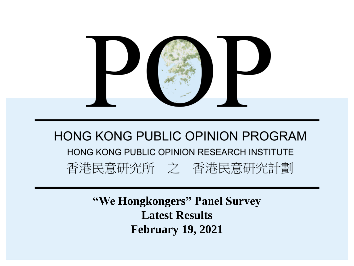

**"We Hongkongers" Panel Survey Latest Results February 19, 2021**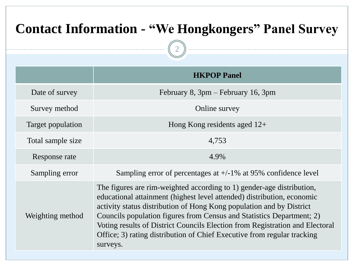# **Contact Information - "We Hongkongers" Panel Survey**

2

|                   | <b>HKPOP Panel</b>                                                                                                                                                                                                                                                                                                                                                                                                                                                      |  |  |  |  |
|-------------------|-------------------------------------------------------------------------------------------------------------------------------------------------------------------------------------------------------------------------------------------------------------------------------------------------------------------------------------------------------------------------------------------------------------------------------------------------------------------------|--|--|--|--|
| Date of survey    | February 8, 3pm – February 16, 3pm                                                                                                                                                                                                                                                                                                                                                                                                                                      |  |  |  |  |
| Survey method     | Online survey                                                                                                                                                                                                                                                                                                                                                                                                                                                           |  |  |  |  |
| Target population | Hong Kong residents aged $12+$                                                                                                                                                                                                                                                                                                                                                                                                                                          |  |  |  |  |
| Total sample size | 4,753                                                                                                                                                                                                                                                                                                                                                                                                                                                                   |  |  |  |  |
| Response rate     | 4.9%                                                                                                                                                                                                                                                                                                                                                                                                                                                                    |  |  |  |  |
| Sampling error    | Sampling error of percentages at $+/-1\%$ at 95% confidence level                                                                                                                                                                                                                                                                                                                                                                                                       |  |  |  |  |
| Weighting method  | The figures are rim-weighted according to 1) gender-age distribution,<br>educational attainment (highest level attended) distribution, economic<br>activity status distribution of Hong Kong population and by District<br>Councils population figures from Census and Statistics Department; 2)<br>Voting results of District Councils Election from Registration and Electoral<br>Office; 3) rating distribution of Chief Executive from regular tracking<br>surveys. |  |  |  |  |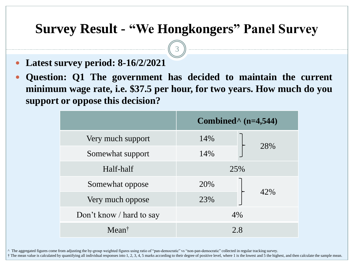3

- **Latest survey period: 8-16/2/2021**
- **Question: Q1 The government has decided to maintain the current minimum wage rate, i.e. \$37.5 per hour, for two years. How much do you support or oppose this decision?**

|                          | Combined $\land$ (n=4,544) |  |  |  |
|--------------------------|----------------------------|--|--|--|
| Very much support        | 14%                        |  |  |  |
| Somewhat support         | 28%<br>14%                 |  |  |  |
| Half-half                | 25%                        |  |  |  |
| Somewhat oppose          | 20%                        |  |  |  |
| Very much oppose         | 42%<br>23%                 |  |  |  |
| Don't know / hard to say | 4%                         |  |  |  |
| Meant                    | 2.8                        |  |  |  |

^ The aggregated figures come from adjusting the by-group weighted figures using ratio of "pan-democratic" vs "non-pan-democratic" collected in regular tracking survey.

† The mean value is calculated by quantifying all individual responses into 1, 2, 3, 4, 5 marks according to their degree of positive level, where 1 is the lowest and 5 the highest, and then calculate the sample mean.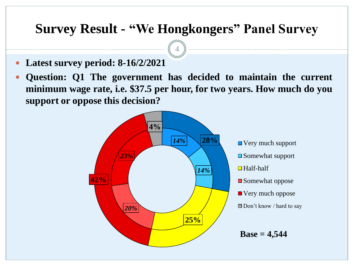4

- **Latest survey period: 8-16/2/2021**
- **Question: Q1 The government has decided to maintain the current minimum wage rate, i.e. \$37.5 per hour, for two years. How much do you support or oppose this decision?**



■ Very much support **□** Somewhat support Half-half **□** Somewhat oppose ■ Very much oppose Don't know / hard to say

**Base = 4,544**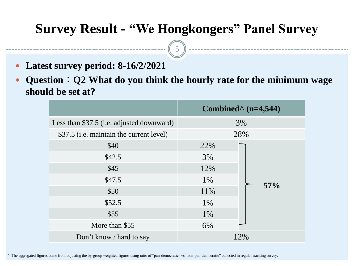5

- **Latest survey period: 8-16/2/2021**
- **Question**:**Q2 What do you think the hourly rate for the minimum wage should be set at?**

|                                           | Combined <sup><math>\land</math></sup> (n=4,544) |  |  |  |
|-------------------------------------------|--------------------------------------------------|--|--|--|
| Less than \$37.5 (i.e. adjusted downward) | 3%                                               |  |  |  |
| \$37.5 (i.e. maintain the current level)  | 28%                                              |  |  |  |
| \$40                                      | 22%                                              |  |  |  |
| \$42.5                                    | 3%                                               |  |  |  |
| \$45                                      | 12%                                              |  |  |  |
| \$47.5                                    | 1%<br>57%                                        |  |  |  |
| \$50                                      | 11%                                              |  |  |  |
| \$52.5                                    | 1%                                               |  |  |  |
| \$55                                      | 1%                                               |  |  |  |
| More than \$55                            | 6%                                               |  |  |  |
| Don't know / hard to say                  | 12%                                              |  |  |  |

^ The aggregated figures come from adjusting the by-group weighted figures using ratio of "pan-democratic" vs "non-pan-democratic" collected in regular tracking survey.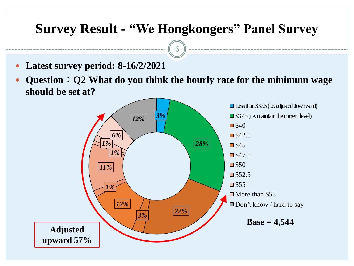6

- **Latest survey period: 8-16/2/2021**
- **Question**:**Q2 What do you think the hourly rate for the minimum wage should be set at?**